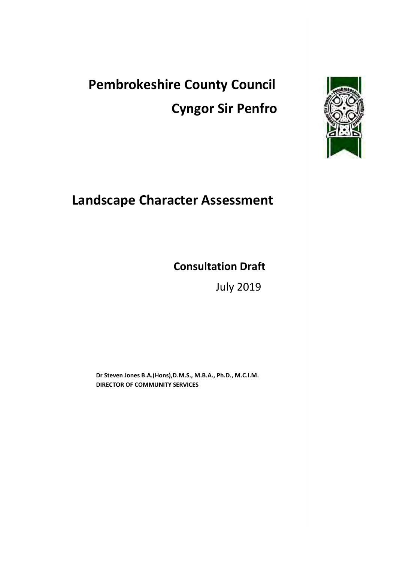# **Pembrokeshire County Council Cyngor Sir Penfro**

# **Landscape Character Assessment**

# **Consultation Draft**

July 2019

**Dr Steven Jones B.A.(Hons),D.M.S., M.B.A., Ph.D., M.C.I.M. DIRECTOR OF COMMUNITY SERVICES**

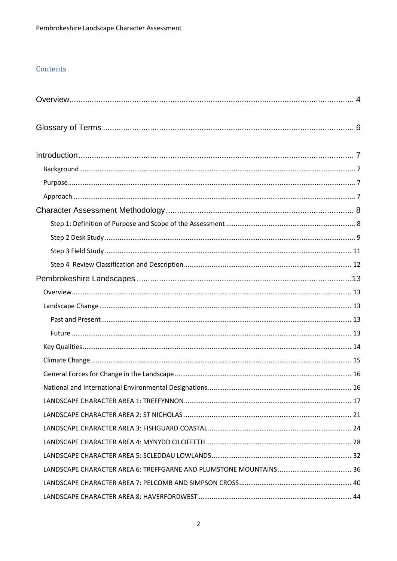# Contents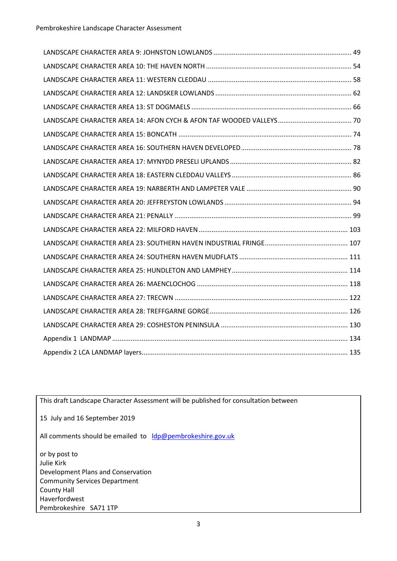This draft Landscape Character Assessment will be published for consultation between

15 July and 16 September 2019

All comments should be emailed to [ldp@pembrokeshire.gov.uk](mailto:ldp@pembrokeshire.gov.uk)

or by post to Julie Kirk Development Plans and Conservation Community Services Department County Hall Haverfordwest Pembrokeshire SA71 1TP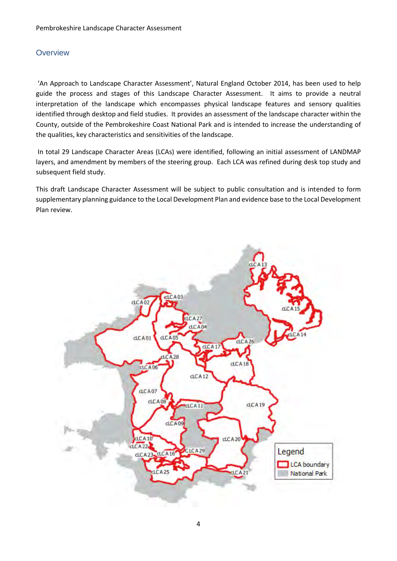## <span id="page-3-0"></span>**Overview**

'An Approach to Landscape Character Assessment', Natural England October 2014, has been used to help guide the process and stages of this Landscape Character Assessment. It aims to provide a neutral interpretation of the landscape which encompasses physical landscape features and sensory qualities identified through desktop and field studies. It provides an assessment of the landscape character within the County, outside of the Pembrokeshire Coast National Park and is intended to increase the understanding of the qualities, key characteristics and sensitivities of the landscape.

In total 29 Landscape Character Areas (LCAs) were identified, following an initial assessment of LANDMAP layers, and amendment by members of the steering group. Each LCA was refined during desk top study and subsequent field study.

This draft Landscape Character Assessment will be subject to public consultation and is intended to form supplementary planning guidance to the Local Development Plan and evidence base to the Local Development Plan review.

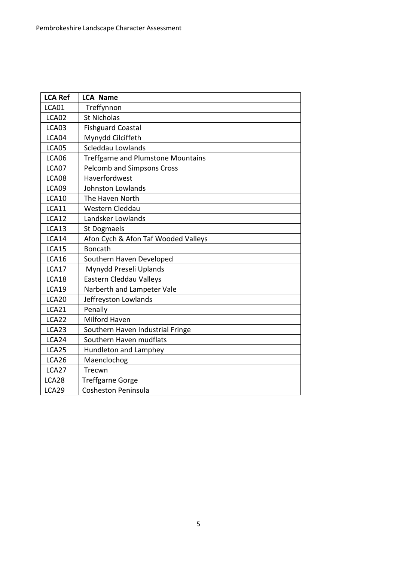| <b>LCA Ref</b> | <b>LCA Name</b>                     |
|----------------|-------------------------------------|
| LCA01          | Treffynnon                          |
| LCA02          | St Nicholas                         |
| LCA03          | <b>Fishguard Coastal</b>            |
| LCA04          | Mynydd Cilciffeth                   |
| LCA05          | Scleddau Lowlands                   |
| LCA06          | Treffgarne and Plumstone Mountains  |
| LCA07          | <b>Pelcomb and Simpsons Cross</b>   |
| LCA08          | Haverfordwest                       |
| LCA09          | Johnston Lowlands                   |
| <b>LCA10</b>   | The Haven North                     |
| LCA11          | Western Cleddau                     |
| LCA12          | Landsker Lowlands                   |
| <b>LCA13</b>   | <b>St Dogmaels</b>                  |
| LCA14          | Afon Cych & Afon Taf Wooded Valleys |
| <b>LCA15</b>   | <b>Boncath</b>                      |
| LCA16          | Southern Haven Developed            |
| LCA17          | Mynydd Preseli Uplands              |
| LCA18          | Eastern Cleddau Valleys             |
| <b>LCA19</b>   | Narberth and Lampeter Vale          |
| LCA20          | Jeffreyston Lowlands                |
| LCA21          | Penally                             |
| LCA22          | Milford Haven                       |
| LCA23          | Southern Haven Industrial Fringe    |
| LCA24          | Southern Haven mudflats             |
| LCA25          | Hundleton and Lamphey               |
| LCA26          | Maenclochog                         |
| LCA27          | Trecwn                              |
| LCA28          | <b>Treffgarne Gorge</b>             |
| LCA29          | <b>Cosheston Peninsula</b>          |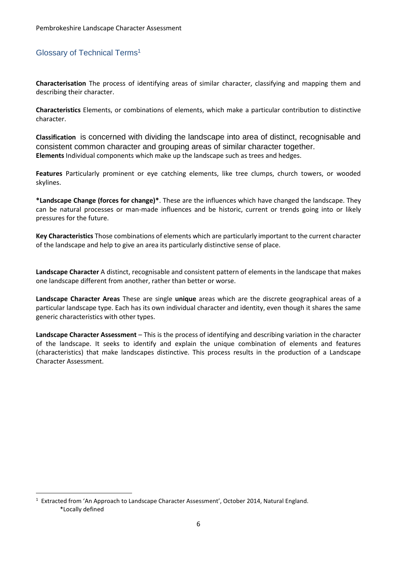# <span id="page-5-0"></span>Glossary of Technical Terms<sup>1</sup>

**Characterisation** The process of identifying areas of similar character, classifying and mapping them and describing their character.

**Characteristics** Elements, or combinations of elements, which make a particular contribution to distinctive character.

**Classification** is concerned with dividing the landscape into area of distinct, recognisable and consistent common character and grouping areas of similar character together. **Elements** Individual components which make up the landscape such as trees and hedges.

**Features** Particularly prominent or eye catching elements, like tree clumps, church towers, or wooded skylines.

**\*Landscape Change (forces for change)\***. These are the influences which have changed the landscape. They can be natural processes or man-made influences and be historic, current or trends going into or likely pressures for the future.

**Key Characteristics** Those combinations of elements which are particularly important to the current character of the landscape and help to give an area its particularly distinctive sense of place.

**Landscape Character** A distinct, recognisable and consistent pattern of elements in the landscape that makes one landscape different from another, rather than better or worse.

**Landscape Character Areas** These are single **unique** areas which are the discrete geographical areas of a particular landscape type. Each has its own individual character and identity, even though it shares the same generic characteristics with other types.

**Landscape Character Assessment** – This is the process of identifying and describing variation in the character of the landscape. It seeks to identify and explain the unique combination of elements and features (characteristics) that make landscapes distinctive. This process results in the production of a Landscape Character Assessment.

1

<sup>&</sup>lt;sup>1</sup> Extracted from 'An Approach to Landscape Character Assessment', October 2014, Natural England. \*Locally defined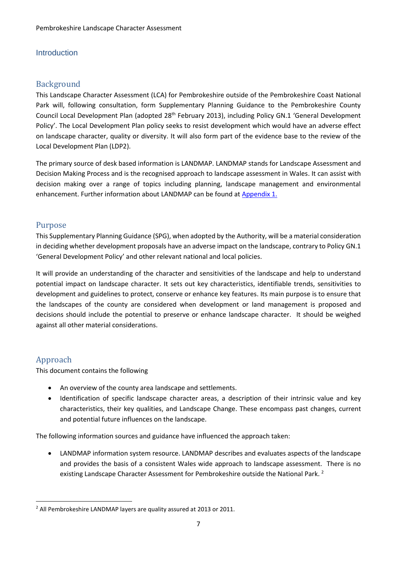#### <span id="page-6-0"></span>**Introduction**

# <span id="page-6-1"></span>Background

This Landscape Character Assessment (LCA) for Pembrokeshire outside of the Pembrokeshire Coast National Park will, following consultation, form Supplementary Planning Guidance to the Pembrokeshire County Council Local Development Plan (adopted 28th February 2013), including Policy GN.1 'General Development Policy'. The Local Development Plan policy seeks to resist development which would have an adverse effect on landscape character, quality or diversity. It will also form part of the evidence base to the review of the Local Development Plan (LDP2).

The primary source of desk based information is LANDMAP. LANDMAP stands for Landscape Assessment and Decision Making Process and is the recognised approach to landscape assessment in Wales. It can assist with decision making over a range of topics including planning, landscape management and environmental enhancement. Further information about LANDMAP can be found at Appendix 1.

## <span id="page-6-2"></span>Purpose

This Supplementary Planning Guidance (SPG), when adopted by the Authority, will be a material consideration in deciding whether development proposals have an adverse impact on the landscape, contrary to Policy GN.1 'General Development Policy' and other relevant national and local policies.

It will provide an understanding of the character and sensitivities of the landscape and help to understand potential impact on landscape character. It sets out key characteristics, identifiable trends, sensitivities to development and guidelines to protect, conserve or enhance key features. Its main purpose is to ensure that the landscapes of the county are considered when development or land management is proposed and decisions should include the potential to preserve or enhance landscape character. It should be weighed against all other material considerations.

# <span id="page-6-3"></span>Approach

**.** 

This document contains the following

- An overview of the county area landscape and settlements.
- Identification of specific landscape character areas, a description of their intrinsic value and key characteristics, their key qualities, and Landscape Change. These encompass past changes, current and potential future influences on the landscape.

The following information sources and guidance have influenced the approach taken:

 LANDMAP information system resource. LANDMAP describes and evaluates aspects of the landscape and provides the basis of a consistent Wales wide approach to landscape assessment. There is no existing Landscape Character Assessment for Pembrokeshire outside the National Park.<sup>2</sup>

<sup>&</sup>lt;sup>2</sup> All Pembrokeshire LANDMAP layers are quality assured at 2013 or 2011.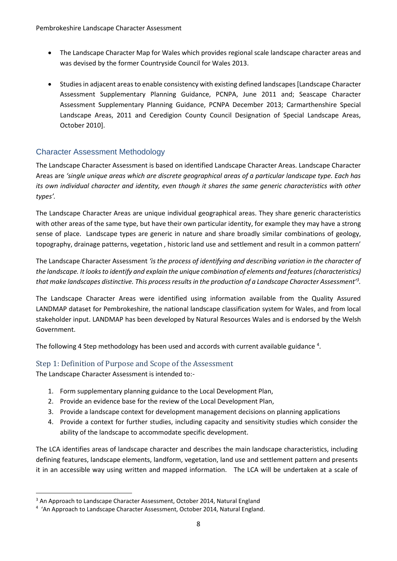- The Landscape Character Map for Wales which provides regional scale landscape character areas and was devised by the former Countryside Council for Wales 2013.
- Studies in adjacent areas to enable consistency with existing defined landscapes [Landscape Character Assessment Supplementary Planning Guidance, PCNPA, June 2011 and; Seascape Character Assessment Supplementary Planning Guidance, PCNPA December 2013; Carmarthenshire Special Landscape Areas, 2011 and Ceredigion County Council Designation of Special Landscape Areas, October 2010].

# <span id="page-7-0"></span>Character Assessment Methodology

The Landscape Character Assessment is based on identified Landscape Character Areas. Landscape Character Areas are *'single unique areas which are discrete geographical areas of a particular landscape type. Each has its own individual character and identity, even though it shares the same generic characteristics with other types'.* 

The Landscape Character Areas are unique individual geographical areas. They share generic characteristics with other areas of the same type, but have their own particular identity, for example they may have a strong sense of place. Landscape types are generic in nature and share broadly similar combinations of geology, topography, drainage patterns, vegetation , historic land use and settlement and result in a common pattern'

The Landscape Character Assessment *'is the process of identifying and describing variation in the character of the landscape. It looks to identify and explain the unique combination of elements and features (characteristics) that make landscapes distinctive. This process results in the production of a Landscape Character Assessment'<sup>3</sup> .*

The Landscape Character Areas were identified using information available from the Quality Assured LANDMAP dataset for Pembrokeshire, the national landscape classification system for Wales, and from local stakeholder input. LANDMAP has been developed by Natural Resources Wales and is endorsed by the Welsh Government.

The following 4 Step methodology has been used and accords with current available guidance  $4$ .

# <span id="page-7-1"></span>Step 1: Definition of Purpose and Scope of the Assessment

The Landscape Character Assessment is intended to:-

1

- 1. Form supplementary planning guidance to the Local Development Plan,
- 2. Provide an evidence base for the review of the Local Development Plan,
- 3. Provide a landscape context for development management decisions on planning applications
- 4. Provide a context for further studies, including capacity and sensitivity studies which consider the ability of the landscape to accommodate specific development.

The LCA identifies areas of landscape character and describes the main landscape characteristics, including defining features, landscape elements, landform, vegetation, land use and settlement pattern and presents it in an accessible way using written and mapped information. The LCA will be undertaken at a scale of

<sup>&</sup>lt;sup>3</sup> An Approach to Landscape Character Assessment, October 2014, Natural England

<sup>&</sup>lt;sup>4</sup> 'An Approach to Landscape Character Assessment, October 2014, Natural England.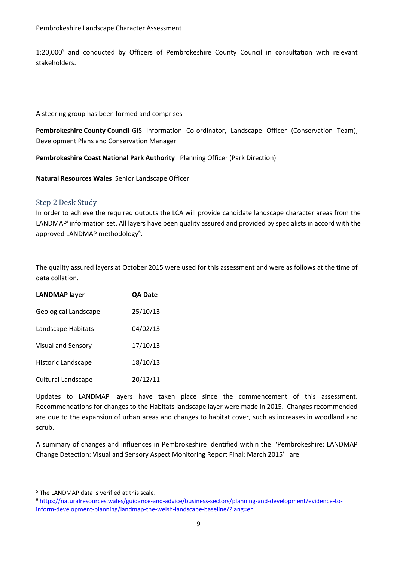1:20,000<sup>5</sup> and conducted by Officers of Pembrokeshire County Council in consultation with relevant stakeholders.

A steering group has been formed and comprises

**Pembrokeshire County Council** GIS Information Co-ordinator, Landscape Officer (Conservation Team), Development Plans and Conservation Manager

**Pembrokeshire Coast National Park Authority** Planning Officer (Park Direction)

**Natural Resources Wales** Senior Landscape Officer

#### <span id="page-8-0"></span>Step 2 Desk Study

In order to achieve the required outputs the LCA will provide candidate landscape character areas from the LANDMAP<sup>i</sup> information set. All layers have been quality assured and provided by specialists in accord with the approved LANDMAP methodology<sup>6</sup>.

The quality assured layers at October 2015 were used for this assessment and were as follows at the time of data collation.

| <b>LANDMAP layer</b>      | <b>QA Date</b> |
|---------------------------|----------------|
| Geological Landscape      | 25/10/13       |
| Landscape Habitats        | 04/02/13       |
| <b>Visual and Sensory</b> | 17/10/13       |
| Historic Landscape        | 18/10/13       |
| <b>Cultural Landscape</b> | 20/12/11       |

Updates to LANDMAP layers have taken place since the commencement of this assessment. Recommendations for changes to the Habitats landscape layer were made in 2015. Changes recommended are due to the expansion of urban areas and changes to habitat cover, such as increases in woodland and scrub.

A summary of changes and influences in Pembrokeshire identified within the 'Pembrokeshire: LANDMAP Change Detection: Visual and Sensory Aspect Monitoring Report Final: March 2015' are

**.** 

<sup>5</sup> The LANDMAP data is verified at this scale.

<sup>6</sup> [https://naturalresources.wales/guidance-and-advice/business-sectors/planning-and-development/evidence-to](https://naturalresources.wales/guidance-and-advice/business-sectors/planning-and-development/evidence-to-inform-development-planning/landmap-the-welsh-landscape-baseline/?lang=en)[inform-development-planning/landmap-the-welsh-landscape-baseline/?lang=en](https://naturalresources.wales/guidance-and-advice/business-sectors/planning-and-development/evidence-to-inform-development-planning/landmap-the-welsh-landscape-baseline/?lang=en)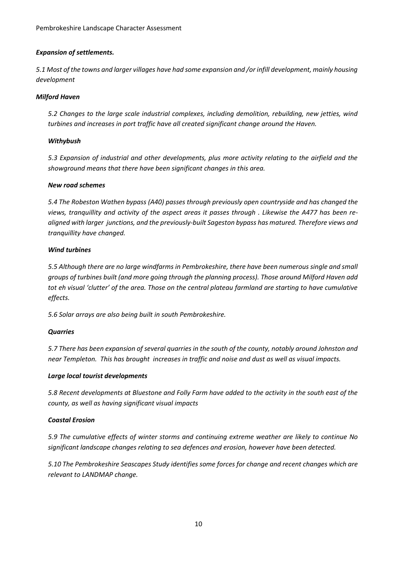#### *Expansion of settlements.*

*5.1 Most of the towns and larger villages have had some expansion and /or infill development, mainly housing development*

#### *Milford Haven*

*5.2 Changes to the large scale industrial complexes, including demolition, rebuilding, new jetties, wind turbines and increases in port traffic have all created significant change around the Haven.*

#### *Withybush*

*5.3 Expansion of industrial and other developments, plus more activity relating to the airfield and the showground means that there have been significant changes in this area.*

#### *New road schemes*

*5.4 The Robeston Wathen bypass (A40) passes through previously open countryside and has changed the views, tranquillity and activity of the aspect areas it passes through . Likewise the A477 has been realigned with larger junctions, and the previously-built Sageston bypass has matured. Therefore views and tranquillity have changed.* 

#### *Wind turbines*

*5.5 Although there are no large windfarms in Pembrokeshire, there have been numerous single and small groups of turbines built (and more going through the planning process). Those around Milford Haven add tot eh visual 'clutter' of the area. Those on the central plateau farmland are starting to have cumulative effects.* 

*5.6 Solar arrays are also being built in south Pembrokeshire.*

#### *Quarries*

*5.7 There has been expansion of several quarries in the south of the county, notably around Johnston and near Templeton. This has brought increases in traffic and noise and dust as well as visual impacts.*

#### *Large local tourist developments*

*5.8 Recent developments at Bluestone and Folly Farm have added to the activity in the south east of the county, as well as having significant visual impacts*

#### *Coastal Erosion*

*5.9 The cumulative effects of winter storms and continuing extreme weather are likely to continue No significant landscape changes relating to sea defences and erosion, however have been detected.*

*5.10 The Pembrokeshire Seascapes Study identifies some forces for change and recent changes which are relevant to LANDMAP change.*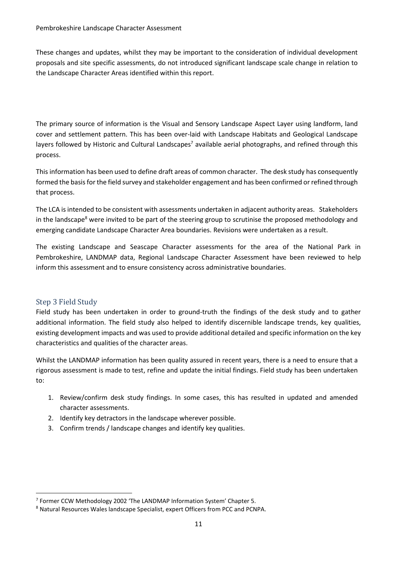These changes and updates, whilst they may be important to the consideration of individual development proposals and site specific assessments, do not introduced significant landscape scale change in relation to the Landscape Character Areas identified within this report.

The primary source of information is the Visual and Sensory Landscape Aspect Layer using landform, land cover and settlement pattern. This has been over-laid with Landscape Habitats and Geological Landscape layers followed by Historic and Cultural Landscapes<sup>7</sup> available aerial photographs, and refined through this process.

This information has been used to define draft areas of common character. The desk study has consequently formed the basis for the field survey and stakeholder engagement and has been confirmed or refined through that process.

The LCA is intended to be consistent with assessments undertaken in adjacent authority areas. Stakeholders in the landscape<sup>8</sup> were invited to be part of the steering group to scrutinise the proposed methodology and emerging candidate Landscape Character Area boundaries. Revisions were undertaken as a result.

The existing Landscape and Seascape Character assessments for the area of the National Park in Pembrokeshire, LANDMAP data, Regional Landscape Character Assessment have been reviewed to help inform this assessment and to ensure consistency across administrative boundaries.

#### <span id="page-10-0"></span>Step 3 Field Study

1

Field study has been undertaken in order to ground-truth the findings of the desk study and to gather additional information. The field study also helped to identify discernible landscape trends, key qualities, existing development impacts and was used to provide additional detailed and specific information on the key characteristics and qualities of the character areas.

Whilst the LANDMAP information has been quality assured in recent years, there is a need to ensure that a rigorous assessment is made to test, refine and update the initial findings. Field study has been undertaken to:

- 1. Review/confirm desk study findings. In some cases, this has resulted in updated and amended character assessments.
- 2. Identify key detractors in the landscape wherever possible.
- 3. Confirm trends / landscape changes and identify key qualities.

<sup>&</sup>lt;sup>7</sup> Former CCW Methodology 2002 'The LANDMAP Information System' Chapter 5.

<sup>8</sup> Natural Resources Wales landscape Specialist, expert Officers from PCC and PCNPA.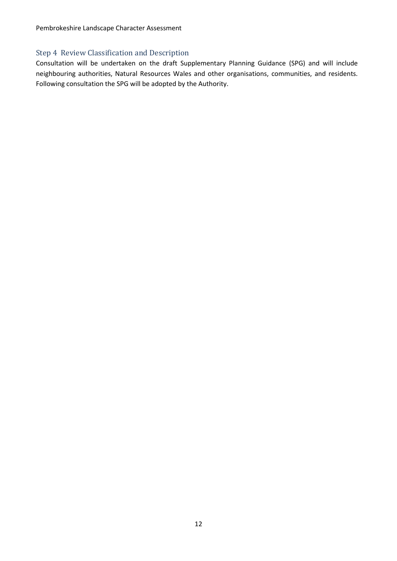Pembrokeshire Landscape Character Assessment

#### <span id="page-11-0"></span>Step 4 Review Classification and Description

Consultation will be undertaken on the draft Supplementary Planning Guidance (SPG) and will include neighbouring authorities, Natural Resources Wales and other organisations, communities, and residents. Following consultation the SPG will be adopted by the Authority.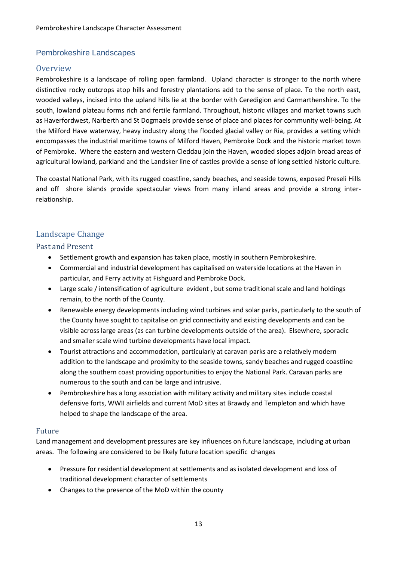# <span id="page-12-0"></span>Pembrokeshire Landscapes

### <span id="page-12-1"></span>**Overview**

Pembrokeshire is a landscape of rolling open farmland. Upland character is stronger to the north where distinctive rocky outcrops atop hills and forestry plantations add to the sense of place. To the north east, wooded valleys, incised into the upland hills lie at the border with Ceredigion and Carmarthenshire. To the south, lowland plateau forms rich and fertile farmland. Throughout, historic villages and market towns such as Haverfordwest, Narberth and St Dogmaels provide sense of place and places for community well-being. At the Milford Have waterway, heavy industry along the flooded glacial valley or Ria, provides a setting which encompasses the industrial maritime towns of Milford Haven, Pembroke Dock and the historic market town of Pembroke. Where the eastern and western Cleddau join the Haven, wooded slopes adjoin broad areas of agricultural lowland, parkland and the Landsker line of castles provide a sense of long settled historic culture.

The coastal National Park, with its rugged coastline, sandy beaches, and seaside towns, exposed Preseli Hills and off shore islands provide spectacular views from many inland areas and provide a strong interrelationship.

#### <span id="page-12-2"></span>Landscape Change

#### <span id="page-12-3"></span>Past and Present

- Settlement growth and expansion has taken place, mostly in southern Pembrokeshire.
- Commercial and industrial development has capitalised on waterside locations at the Haven in particular, and Ferry activity at Fishguard and Pembroke Dock.
- Large scale / intensification of agriculture evident , but some traditional scale and land holdings remain, to the north of the County.
- Renewable energy developments including wind turbines and solar parks, particularly to the south of the County have sought to capitalise on grid connectivity and existing developments and can be visible across large areas (as can turbine developments outside of the area). Elsewhere, sporadic and smaller scale wind turbine developments have local impact.
- Tourist attractions and accommodation, particularly at caravan parks are a relatively modern addition to the landscape and proximity to the seaside towns, sandy beaches and rugged coastline along the southern coast providing opportunities to enjoy the National Park. Caravan parks are numerous to the south and can be large and intrusive.
- Pembrokeshire has a long association with military activity and military sites include coastal defensive forts, WWII airfields and current MoD sites at Brawdy and Templeton and which have helped to shape the landscape of the area.

#### <span id="page-12-4"></span>Future

Land management and development pressures are key influences on future landscape, including at urban areas. The following are considered to be likely future location specific changes

- Pressure for residential development at settlements and as isolated development and loss of traditional development character of settlements
- Changes to the presence of the MoD within the county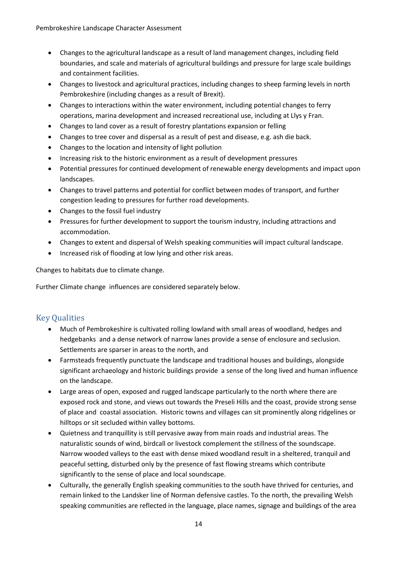- Changes to the agricultural landscape as a result of land management changes, including field boundaries, and scale and materials of agricultural buildings and pressure for large scale buildings and containment facilities.
- Changes to livestock and agricultural practices, including changes to sheep farming levels in north Pembrokeshire (including changes as a result of Brexit).
- Changes to interactions within the water environment, including potential changes to ferry operations, marina development and increased recreational use, including at Llys y Fran.
- Changes to land cover as a result of forestry plantations expansion or felling
- Changes to tree cover and dispersal as a result of pest and disease, e.g. ash die back.
- Changes to the location and intensity of light pollution
- Increasing risk to the historic environment as a result of development pressures
- Potential pressures for continued development of renewable energy developments and impact upon landscapes.
- Changes to travel patterns and potential for conflict between modes of transport, and further congestion leading to pressures for further road developments.
- Changes to the fossil fuel industry
- Pressures for further development to support the tourism industry, including attractions and accommodation.
- Changes to extent and dispersal of Welsh speaking communities will impact cultural landscape.
- Increased risk of flooding at low lying and other risk areas.

Changes to habitats due to climate change.

Further Climate change influences are considered separately below.

# <span id="page-13-0"></span>Key Qualities

- Much of Pembrokeshire is cultivated rolling lowland with small areas of woodland, hedges and hedgebanks and a dense network of narrow lanes provide a sense of enclosure and seclusion. Settlements are sparser in areas to the north, and
- Farmsteads frequently punctuate the landscape and traditional houses and buildings, alongside significant archaeology and historic buildings provide a sense of the long lived and human influence on the landscape.
- Large areas of open, exposed and rugged landscape particularly to the north where there are exposed rock and stone, and views out towards the Preseli Hills and the coast, provide strong sense of place and coastal association. Historic towns and villages can sit prominently along ridgelines or hilltops or sit secluded within valley bottoms.
- Quietness and tranquillity is still pervasive away from main roads and industrial areas. The naturalistic sounds of wind, birdcall or livestock complement the stillness of the soundscape. Narrow wooded valleys to the east with dense mixed woodland result in a sheltered, tranquil and peaceful setting, disturbed only by the presence of fast flowing streams which contribute significantly to the sense of place and local soundscape.
- Culturally, the generally English speaking communities to the south have thrived for centuries, and remain linked to the Landsker line of Norman defensive castles. To the north, the prevailing Welsh speaking communities are reflected in the language, place names, signage and buildings of the area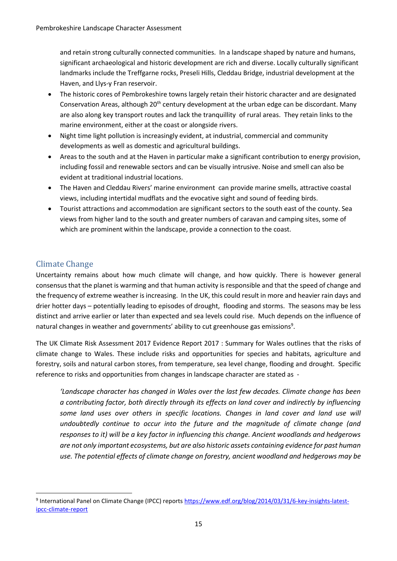and retain strong culturally connected communities. In a landscape shaped by nature and humans, significant archaeological and historic development are rich and diverse. Locally culturally significant landmarks include the Treffgarne rocks, Preseli Hills, Cleddau Bridge, industrial development at the Haven, and Llys-y Fran reservoir.

- The historic cores of Pembrokeshire towns largely retain their historic character and are designated Conservation Areas, although 20<sup>th</sup> century development at the urban edge can be discordant. Many are also along key transport routes and lack the tranquillity of rural areas. They retain links to the marine environment, either at the coast or alongside rivers.
- Night time light pollution is increasingly evident, at industrial, commercial and community developments as well as domestic and agricultural buildings.
- Areas to the south and at the Haven in particular make a significant contribution to energy provision, including fossil and renewable sectors and can be visually intrusive. Noise and smell can also be evident at traditional industrial locations.
- The Haven and Cleddau Rivers' marine environment can provide marine smells, attractive coastal views, including intertidal mudflats and the evocative sight and sound of feeding birds.
- Tourist attractions and accommodation are significant sectors to the south east of the county. Sea views from higher land to the south and greater numbers of caravan and camping sites, some of which are prominent within the landscape, provide a connection to the coast.

# <span id="page-14-0"></span>Climate Change

1

Uncertainty remains about how much climate will change, and how quickly. There is however general consensus that the planet is warming and that human activity is responsible and that the speed of change and the frequency of extreme weather is increasing. In the UK, this could result in more and heavier rain days and drier hotter days – potentially leading to episodes of drought, flooding and storms. The seasons may be less distinct and arrive earlier or later than expected and sea levels could rise. Much depends on the influence of natural changes in weather and governments' ability to cut greenhouse gas emissions<sup>9</sup>.

The UK Climate Risk Assessment 2017 Evidence Report 2017 : Summary for Wales outlines that the risks of climate change to Wales. These include risks and opportunities for species and habitats, agriculture and forestry, soils and natural carbon stores, from temperature, sea level change, flooding and drought. Specific reference to risks and opportunities from changes in landscape character are stated as -

*'Landscape character has changed in Wales over the last few decades. Climate change has been a contributing factor, both directly through its effects on land cover and indirectly by influencing some land uses over others in specific locations. Changes in land cover and land use will undoubtedly continue to occur into the future and the magnitude of climate change (and responses to it) will be a key factor in influencing this change. Ancient woodlands and hedgerows are not only important ecosystems, but are also historic assets containing evidence for past human use. The potential effects of climate change on forestry, ancient woodland and hedgerows may be* 

<sup>&</sup>lt;sup>9</sup> International Panel on Climate Change (IPCC) reports **https://www.edf.org/blog/2014/03/31/6-key-insights-latest**[ipcc-climate-report](https://www.edf.org/blog/2014/03/31/6-key-insights-latest-ipcc-climate-report)